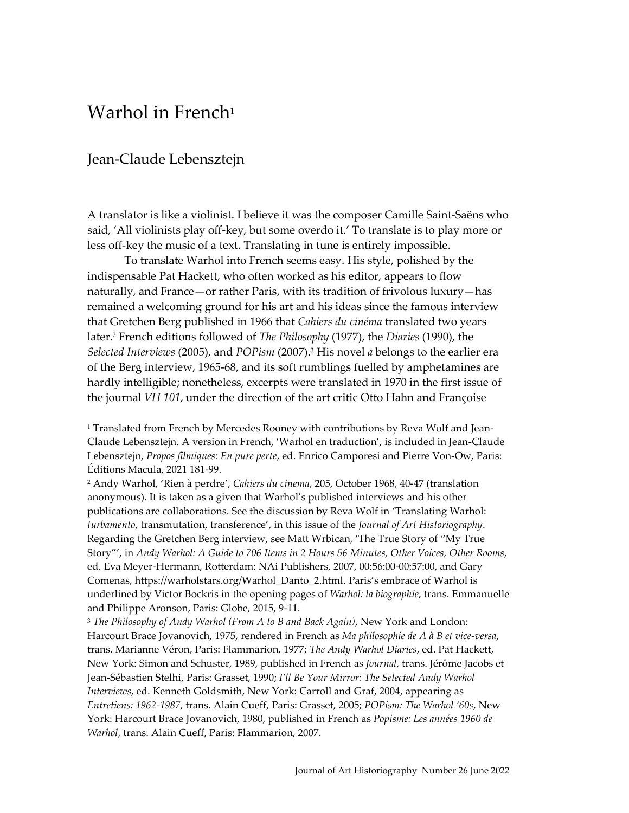## Warhol in French<sup>1</sup>

## Jean-Claude Lebensztejn

A translator is like a violinist. I believe it was the composer Camille Saint-Saëns who said, 'All violinists play off-key, but some overdo it.' To translate is to play more or less off-key the music of a text. Translating in tune is entirely impossible.

To translate Warhol into French seems easy. His style, polished by the indispensable Pat Hackett, who often worked as his editor, appears to flow naturally, and France—or rather Paris, with its tradition of frivolous luxury—has remained a welcoming ground for his art and his ideas since the famous interview that Gretchen Berg published in 1966 that *Cahiers du cinéma* translated two years later. <sup>2</sup> French editions followed of *The Philosophy* (1977), the *Diaries* (1990), the *Selected Interviews* (2005), and *POPism* (2007). <sup>3</sup> His novel *a* belongs to the earlier era of the Berg interview, 1965-68, and its soft rumblings fuelled by amphetamines are hardly intelligible; nonetheless, excerpts were translated in 1970 in the first issue of the journal *VH 101*, under the direction of the art critic Otto Hahn and Françoise

<sup>1</sup> Translated from French by Mercedes Rooney with contributions by Reva Wolf and Jean-Claude Lebensztejn. A version in French, 'Warhol en traduction', is included in Jean-Claude Lebensztejn, *Propos filmiques: En pure perte*, ed. Enrico Camporesi and Pierre Von-Ow, Paris: Éditions Macula, 2021 181-99.

<sup>2</sup> Andy Warhol, 'Rien à perdre', *Cahiers du cinema*, 205, October 1968, 40-47 (translation anonymous). It is taken as a given that Warhol's published interviews and his other publications are collaborations. See the discussion by Reva Wolf in 'Translating Warhol: *turbamento*, transmutation, transference', in this issue of the *Journal of Art Historiography*. Regarding the Gretchen Berg interview, see Matt Wrbican, 'The True Story of "My True Story"', in *Andy Warhol: A Guide to 706 Items in 2 Hours 56 Minutes, Other Voices, Other Rooms*, ed. Eva Meyer-Hermann, Rotterdam: NAi Publishers, 2007, 00:56:00-00:57:00, and Gary Comenas, https://warholstars.org/Warhol\_Danto\_2.html. Paris's embrace of Warhol is underlined by Victor Bockris in the opening pages of *Warhol: la biographie*, trans. Emmanuelle and Philippe Aronson, Paris: Globe, 2015, 9-11.

<sup>3</sup> *The Philosophy of Andy Warhol (From A to B and Back Again)*, New York and London: Harcourt Brace Jovanovich, 1975, rendered in French as *Ma philosophie de A à B et vice-versa*, trans. Marianne Véron, Paris: Flammarion, 1977; *The Andy Warhol Diaries*, ed. Pat Hackett, New York: Simon and Schuster, 1989, published in French as *Journal*, trans. Jérôme Jacobs et Jean-Sébastien Stelhi, Paris: Grasset, 1990; *I'll Be Your Mirror: The Selected Andy Warhol Interviews*, ed. Kenneth Goldsmith, New York: Carroll and Graf, 2004, appearing as *Entretiens: 1962-1987*, trans. Alain Cueff, Paris: Grasset, 2005; *POPism: The Warhol '60s*, New York: Harcourt Brace Jovanovich, 1980, published in French as *Popisme: Les années 1960 de Warhol*, trans. Alain Cueff, Paris: Flammarion, 2007.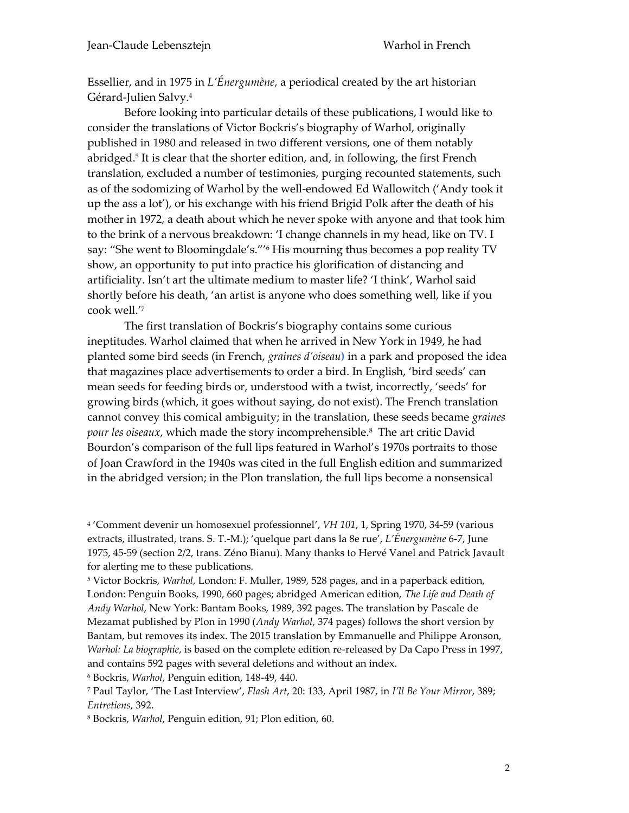Essellier, and in 1975 in *L'Énergumène*, a periodical created by the art historian Gérard-Julien Salvy. 4

Before looking into particular details of these publications, I would like to consider the translations of Victor Bockris's biography of Warhol, originally published in 1980 and released in two different versions, one of them notably abridged. 5 It is clear that the shorter edition, and, in following, the first French translation, excluded a number of testimonies, purging recounted statements, such as of the sodomizing of Warhol by the well-endowed Ed Wallowitch ('Andy took it up the ass a lot'), or his exchange with his friend Brigid Polk after the death of his mother in 1972, a death about which he never spoke with anyone and that took him to the brink of a nervous breakdown: 'I change channels in my head, like on TV. I say: "She went to Bloomingdale's."' <sup>6</sup> His mourning thus becomes a pop reality TV show, an opportunity to put into practice his glorification of distancing and artificiality. Isn't art the ultimate medium to master life? 'I think', Warhol said shortly before his death, 'an artist is anyone who does something well, like if you cook well.' 7

The first translation of Bockris's biography contains some curious ineptitudes. Warhol claimed that when he arrived in New York in 1949, he had planted some bird seeds (in French, *graines d'oiseau***)** in a park and proposed the idea that magazines place advertisements to order a bird. In English, 'bird seeds' can mean seeds for feeding birds or, understood with a twist, incorrectly, 'seeds' for growing birds (which, it goes without saying, do not exist). The French translation cannot convey this comical ambiguity; in the translation, these seeds became *graines pour les oiseaux*, which made the story incomprehensible.<sup>8</sup> The art critic David Bourdon's comparison of the full lips featured in Warhol's 1970s portraits to those of Joan Crawford in the 1940s was cited in the full English edition and summarized in the abridged version; in the Plon translation, the full lips become a nonsensical

4 'Comment devenir un homosexuel professionnel', *VH 101*, 1, Spring 1970, 34-59 (various extracts, illustrated, trans. S. T.-M.); 'quelque part dans la 8e rue', *L'Énergumène* 6-7, June 1975, 45-59 (section 2/2, trans. Zéno Bianu). Many thanks to Hervé Vanel and Patrick Javault for alerting me to these publications.

<sup>5</sup> Victor Bockris, *Warhol*, London: F. Muller, 1989, 528 pages, and in a paperback edition, London: Penguin Books, 1990, 660 pages; abridged American edition, *The Life and Death of Andy Warhol*, New York: Bantam Books, 1989, 392 pages. The translation by Pascale de Mezamat published by Plon in 1990 (*Andy Warhol*, 374 pages) follows the short version by Bantam, but removes its index. The 2015 translation by Emmanuelle and Philippe Aronson, *Warhol: La biographie*, is based on the complete edition re-released by Da Capo Press in 1997, and contains 592 pages with several deletions and without an index.

<sup>6</sup> Bockris, *Warhol*, Penguin edition, 148-49, 440.

<sup>7</sup> Paul Taylor, 'The Last Interview', *Flash Art*, 20: 133, April 1987, in *I'll Be Your Mirror*, 389; *Entretiens*, 392.

<sup>8</sup> Bockris, *Warhol*, Penguin edition, 91; Plon edition, 60.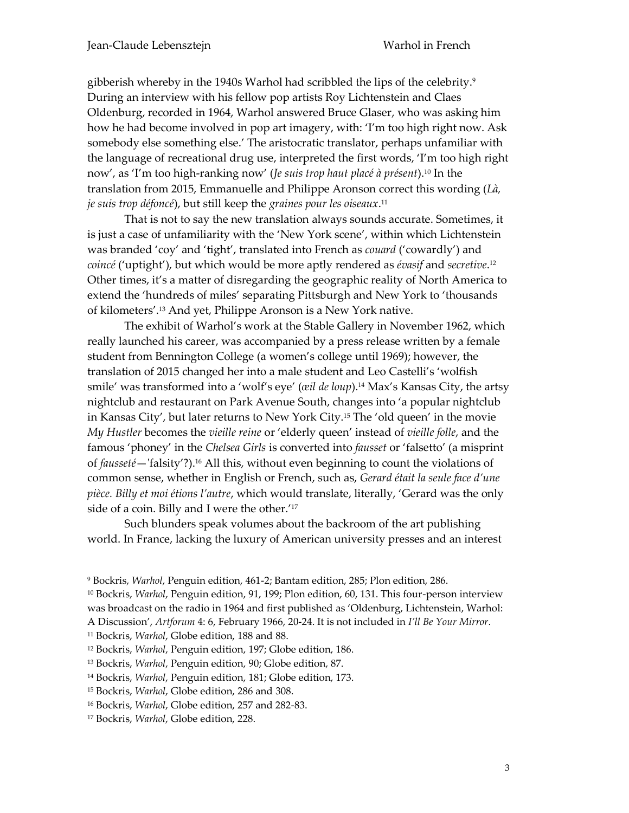gibberish whereby in the 1940s Warhol had scribbled the lips of the celebrity.<sup>9</sup> During an interview with his fellow pop artists Roy Lichtenstein and Claes Oldenburg, recorded in 1964, Warhol answered Bruce Glaser, who was asking him how he had become involved in pop art imagery, with: 'I'm too high right now. Ask somebody else something else.' The aristocratic translator, perhaps unfamiliar with the language of recreational drug use, interpreted the first words, 'I'm too high right now', as 'I'm too high-ranking now' (*Je suis trop haut placé à présent*). <sup>10</sup> In the translation from 2015, Emmanuelle and Philippe Aronson correct this wording (*Là, je suis trop défoncé*), but still keep the *graines pour les oiseaux*. 11

That is not to say the new translation always sounds accurate. Sometimes, it is just a case of unfamiliarity with the 'New York scene', within which Lichtenstein was branded 'coy' and 'tight', translated into French as *couard* ('cowardly') and *coincé* ('uptight'), but which would be more aptly rendered as *évasif* and *secretive*. 12 Other times, it's a matter of disregarding the geographic reality of North America to extend the 'hundreds of miles' separating Pittsburgh and New York to 'thousands of kilometers'. <sup>13</sup> And yet, Philippe Aronson is a New York native.

The exhibit of Warhol's work at the Stable Gallery in November 1962, which really launched his career, was accompanied by a press release written by a female student from Bennington College (a women's college until 1969); however, the translation of 2015 changed her into a male student and Leo Castelli's 'wolfish smile' was transformed into a 'wolf's eye' (*œil de loup*). <sup>14</sup> Max's Kansas City, the artsy nightclub and restaurant on Park Avenue South, changes into 'a popular nightclub in Kansas City', but later returns to New York City.<sup>15</sup> The 'old queen' in the movie *My Hustler* becomes the *vieille reine* or 'elderly queen' instead of *vieille folle*, and the famous 'phoney' in the *Chelsea Girls* is converted into *fausset* or 'falsetto' (a misprint of *fausseté*—'falsity'?). <sup>16</sup> All this, without even beginning to count the violations of common sense, whether in English or French, such as, *Gerard était la seule face d'une pièce. Billy et moi étions l'autre*, which would translate, literally, 'Gerard was the only side of a coin. Billy and I were the other.' 17

Such blunders speak volumes about the backroom of the art publishing world. In France, lacking the luxury of American university presses and an interest

<sup>9</sup> Bockris, *Warhol*, Penguin edition, 461-2; Bantam edition, 285; Plon edition, 286.

<sup>11</sup> Bockris, *Warhol*, Globe edition, 188 and 88.

<sup>12</sup> Bockris, *Warhol*, Penguin edition, 197; Globe edition, 186.

<sup>13</sup> Bockris, *Warhol*, Penguin edition, 90; Globe edition, 87.

<sup>14</sup> Bockris, *Warhol*, Penguin edition, 181; Globe edition, 173.

<sup>15</sup> Bockris, *Warhol*, Globe edition, 286 and 308.

<sup>16</sup> Bockris, *Warhol*, Globe edition, 257 and 282-83.

<sup>17</sup> Bockris, *Warhol*, Globe edition, 228.

<sup>10</sup> Bockris, *Warhol*, Penguin edition, 91, 199; Plon edition, 60, 131. This four-person interview was broadcast on the radio in 1964 and first published as 'Oldenburg, Lichtenstein, Warhol: A Discussion', *Artforum* 4: 6, February 1966, 20-24. It is not included in *I'll Be Your Mirror*.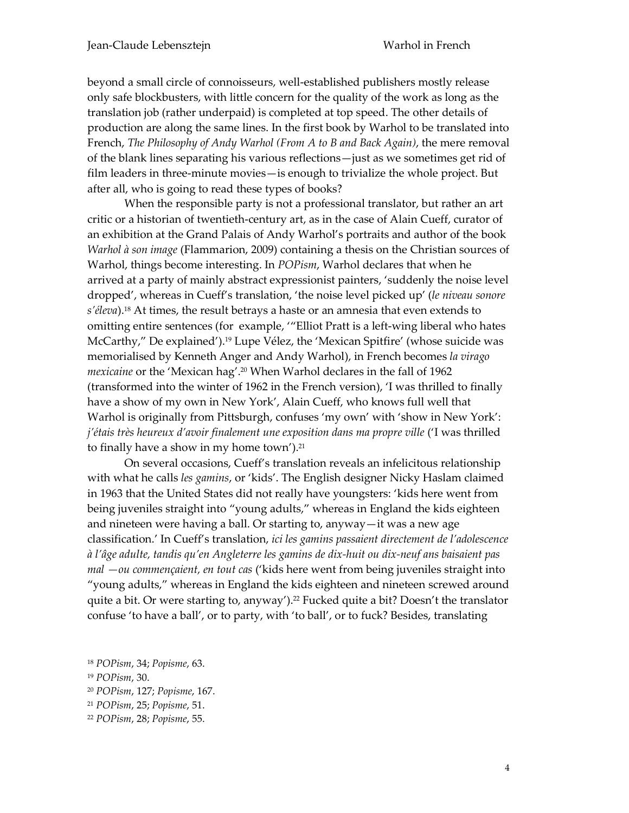beyond a small circle of connoisseurs, well-established publishers mostly release only safe blockbusters, with little concern for the quality of the work as long as the translation job (rather underpaid) is completed at top speed. The other details of production are along the same lines. In the first book by Warhol to be translated into French, *The Philosophy of Andy Warhol (From A to B and Back Again)*, the mere removal of the blank lines separating his various reflections—just as we sometimes get rid of film leaders in three-minute movies—is enough to trivialize the whole project. But after all, who is going to read these types of books?

When the responsible party is not a professional translator, but rather an art critic or a historian of twentieth-century art, as in the case of Alain Cueff, curator of an exhibition at the Grand Palais of Andy Warhol's portraits and author of the book *Warhol à son image* (Flammarion, 2009) containing a thesis on the Christian sources of Warhol, things become interesting. In *POPism*, Warhol declares that when he arrived at a party of mainly abstract expressionist painters, 'suddenly the noise level dropped', whereas in Cueff's translation, 'the noise level picked up' (*le niveau sonore s'éleva*). <sup>18</sup> At times, the result betrays a haste or an amnesia that even extends to omitting entire sentences (for example, '"Elliot Pratt is a left-wing liberal who hates McCarthy," De explained').<sup>19</sup> Lupe Vélez, the 'Mexican Spitfire' (whose suicide was memorialised by Kenneth Anger and Andy Warhol), in French becomes *la virago mexicaine* or the 'Mexican hag'. <sup>20</sup> When Warhol declares in the fall of 1962 (transformed into the winter of 1962 in the French version), 'I was thrilled to finally have a show of my own in New York', Alain Cueff, who knows full well that Warhol is originally from Pittsburgh, confuses 'my own' with 'show in New York': *j'étais très heureux d'avoir finalement une exposition dans ma propre ville* ('I was thrilled to finally have a show in my home town'). 21

On several occasions, Cueff's translation reveals an infelicitous relationship with what he calls *les gamins*, or 'kids'. The English designer Nicky Haslam claimed in 1963 that the United States did not really have youngsters: 'kids here went from being juveniles straight into "young adults," whereas in England the kids eighteen and nineteen were having a ball. Or starting to, anyway—it was a new age classification.' In Cueff's translation, *ici les gamins passaient directement de l'adolescence à l'âge adulte, tandis qu'en Angleterre les gamins de dix-huit ou dix-neuf ans baisaient pas mal —ou commençaient, en tout cas* ('kids here went from being juveniles straight into "young adults," whereas in England the kids eighteen and nineteen screwed around quite a bit. Or were starting to, anyway'). <sup>22</sup> Fucked quite a bit? Doesn't the translator confuse 'to have a ball', or to party, with 'to ball', or to fuck? Besides, translating

<sup>18</sup> *POPism*, 34; *Popisme*, 63.

<sup>19</sup> *POPism*, 30.

<sup>20</sup> *POPism*, 127; *Popisme*, 167.

<sup>21</sup> *POPism*, 25; *Popisme*, 51.

<sup>22</sup> *POPism*, 28; *Popisme*, 55.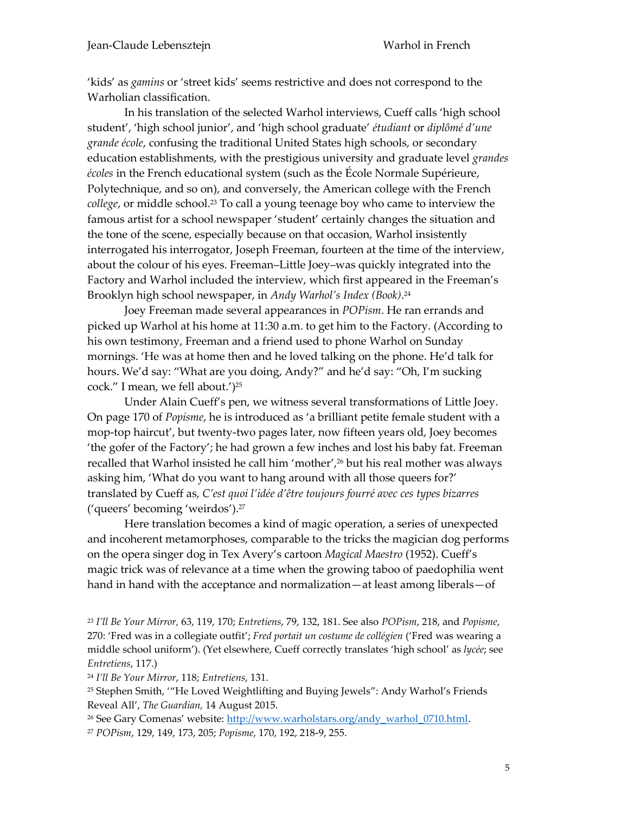'kids' as *gamins* or 'street kids' seems restrictive and does not correspond to the Warholian classification.

In his translation of the selected Warhol interviews, Cueff calls 'high school student', 'high school junior', and 'high school graduate' *étudiant* or *diplômé d'une grande école*, confusing the traditional United States high schools, or secondary education establishments, with the prestigious university and graduate level *grandes écoles* in the French educational system (such as the École Normale Supérieure, Polytechnique, and so on), and conversely, the American college with the French *college*, or middle school. <sup>23</sup> To call a young teenage boy who came to interview the famous artist for a school newspaper 'student' certainly changes the situation and the tone of the scene, especially because on that occasion, Warhol insistently interrogated his interrogator, Joseph Freeman, fourteen at the time of the interview, about the colour of his eyes. Freeman–Little Joey–was quickly integrated into the Factory and Warhol included the interview, which first appeared in the Freeman's Brooklyn high school newspaper, in *Andy Warhol's Index (Book)*. 24

Joey Freeman made several appearances in *POPism*. He ran errands and picked up Warhol at his home at 11:30 a.m. to get him to the Factory. (According to his own testimony, Freeman and a friend used to phone Warhol on Sunday mornings. 'He was at home then and he loved talking on the phone. He'd talk for hours. We'd say: "What are you doing, Andy?" and he'd say: "Oh, I'm sucking cock." I mean, we fell about.') 25

Under Alain Cueff's pen, we witness several transformations of Little Joey. On page 170 of *Popisme*, he is introduced as 'a brilliant petite female student with a mop-top haircut', but twenty-two pages later, now fifteen years old, Joey becomes 'the gofer of the Factory'; he had grown a few inches and lost his baby fat. Freeman recalled that Warhol insisted he call him 'mother', <sup>26</sup> but his real mother was always asking him, 'What do you want to hang around with all those queers for?' translated by Cueff as, *C'est quoi l'idée d'être toujours fourré avec ces types bizarres* ('queers' becoming 'weirdos').<sup>27</sup>

Here translation becomes a kind of magic operation, a series of unexpected and incoherent metamorphoses, comparable to the tricks the magician dog performs on the opera singer dog in Tex Avery's cartoon *Magical Maestro* (1952). Cueff's magic trick was of relevance at a time when the growing taboo of paedophilia went hand in hand with the acceptance and normalization—at least among liberals—of

<sup>24</sup> *I'll Be Your Mirror*, 118; *Entretiens*, 131.

<sup>25</sup> Stephen Smith, '"He Loved Weightlifting and Buying Jewels": Andy Warhol's Friends Reveal All', *The Guardian,* 14 August 2015.

<sup>26</sup> See Gary Comenas' website: [http://www.warholstars.org/andy\\_warhol\\_0710.html.](http://www.warholstars.org/andy_warhol_0710.html)

<sup>27</sup> *POPism*, 129, 149, 173, 205; *Popisme*, 170, 192, 218-9, 255.

<sup>23</sup> *I'll Be Your Mirror,* 63, 119, 170; *Entretiens*, 79, 132, 181. See also *POPism*, 218, and *Popisme*, 270: 'Fred was in a collegiate outfit'; *Fred portait un costume de collégien* ('Fred was wearing a middle school uniform'). (Yet elsewhere, Cueff correctly translates 'high school' as *lycée*; see *Entretiens*, 117.)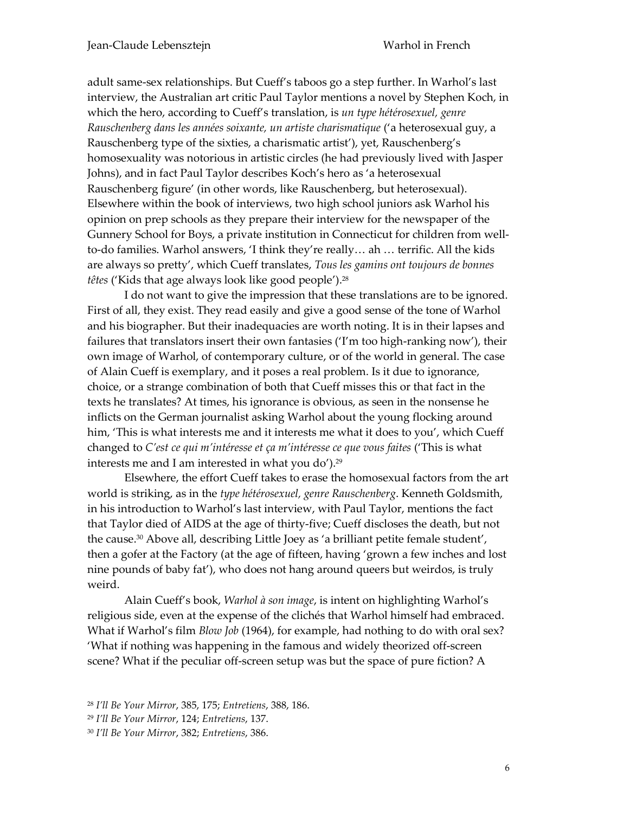adult same-sex relationships. But Cueff's taboos go a step further. In Warhol's last interview, the Australian art critic Paul Taylor mentions a novel by Stephen Koch, in which the hero, according to Cueff's translation, is *un type hétérosexuel, genre Rauschenberg dans les années soixante, un artiste charismatique* ('a heterosexual guy, a Rauschenberg type of the sixties, a charismatic artist'), yet, Rauschenberg's homosexuality was notorious in artistic circles (he had previously lived with Jasper Johns), and in fact Paul Taylor describes Koch's hero as 'a heterosexual Rauschenberg figure' (in other words, like Rauschenberg, but heterosexual). Elsewhere within the book of interviews, two high school juniors ask Warhol his opinion on prep schools as they prepare their interview for the newspaper of the Gunnery School for Boys, a private institution in Connecticut for children from wellto-do families. Warhol answers, 'I think they're really… ah … terrific. All the kids are always so pretty', which Cueff translates, *Tous les gamins ont toujours de bonnes têtes* ('Kids that age always look like good people').<sup>28</sup>

I do not want to give the impression that these translations are to be ignored. First of all, they exist. They read easily and give a good sense of the tone of Warhol and his biographer. But their inadequacies are worth noting. It is in their lapses and failures that translators insert their own fantasies ('I'm too high-ranking now'), their own image of Warhol, of contemporary culture, or of the world in general. The case of Alain Cueff is exemplary, and it poses a real problem. Is it due to ignorance, choice, or a strange combination of both that Cueff misses this or that fact in the texts he translates? At times, his ignorance is obvious, as seen in the nonsense he inflicts on the German journalist asking Warhol about the young flocking around him, 'This is what interests me and it interests me what it does to you', which Cueff changed to *C'est ce qui m'intéresse et ça m'intéresse ce que vous faites* ('This is what interests me and I am interested in what you do').<sup>29</sup>

Elsewhere, the effort Cueff takes to erase the homosexual factors from the art world is striking, as in the *type hétérosexuel, genre Rauschenberg*. Kenneth Goldsmith, in his introduction to Warhol's last interview, with Paul Taylor, mentions the fact that Taylor died of AIDS at the age of thirty-five; Cueff discloses the death, but not the cause.<sup>30</sup> Above all, describing Little Joey as 'a brilliant petite female student', then a gofer at the Factory (at the age of fifteen, having 'grown a few inches and lost nine pounds of baby fat'), who does not hang around queers but weirdos, is truly weird.

Alain Cueff's book, *Warhol à son image*, is intent on highlighting Warhol's religious side, even at the expense of the clichés that Warhol himself had embraced. What if Warhol's film *Blow Job* (1964), for example, had nothing to do with oral sex? 'What if nothing was happening in the famous and widely theorized off-screen scene? What if the peculiar off-screen setup was but the space of pure fiction? A

<sup>28</sup> *I'll Be Your Mirror*, 385, 175; *Entretiens*, 388, 186.

<sup>29</sup> *I'll Be Your Mirror*, 124; *Entretiens*, 137.

<sup>30</sup> *I'll Be Your Mirror*, 382; *Entretiens*, 386.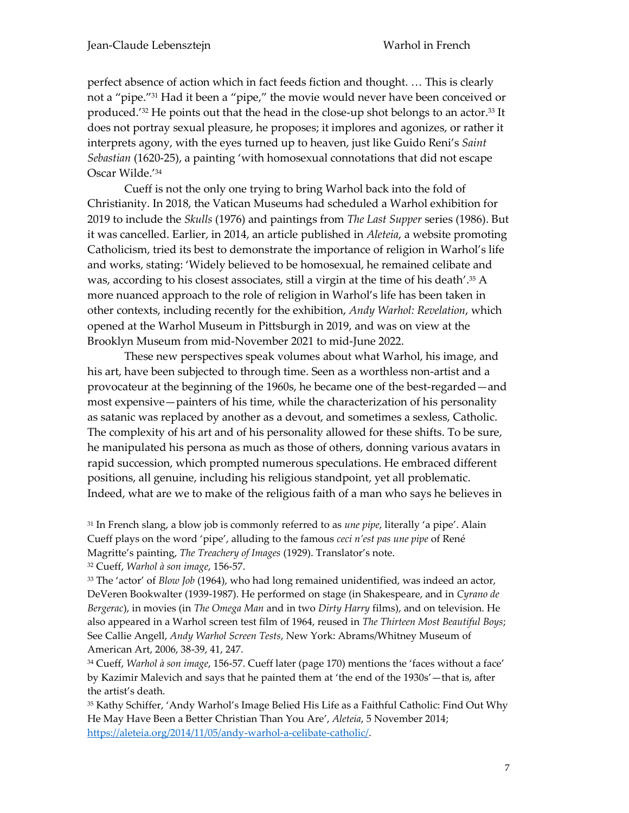perfect absence of action which in fact feeds fiction and thought. … This is clearly not a "pipe." <sup>31</sup> Had it been a "pipe," the movie would never have been conceived or produced.' <sup>32</sup> He points out that the head in the close-up shot belongs to an actor. <sup>33</sup> It does not portray sexual pleasure, he proposes; it implores and agonizes, or rather it interprets agony, with the eyes turned up to heaven, just like Guido Reni's *Saint Sebastian* (1620-25), a painting 'with homosexual connotations that did not escape Oscar Wilde.' 34

Cueff is not the only one trying to bring Warhol back into the fold of Christianity. In 2018, the Vatican Museums had scheduled a Warhol exhibition for 2019 to include the *Skulls* (1976) and paintings from *The Last Supper* series (1986). But it was cancelled. Earlier, in 2014, an article published in *Aleteia*, a website promoting Catholicism, tried its best to demonstrate the importance of religion in Warhol's life and works, stating: 'Widely believed to be homosexual, he remained celibate and was, according to his closest associates, still a virgin at the time of his death'.<sup>35</sup> A more nuanced approach to the role of religion in Warhol's life has been taken in other contexts, including recently for the exhibition, *Andy Warhol: Revelation*, which opened at the Warhol Museum in Pittsburgh in 2019, and was on view at the Brooklyn Museum from mid-November 2021 to mid-June 2022.

These new perspectives speak volumes about what Warhol, his image, and his art, have been subjected to through time. Seen as a worthless non-artist and a provocateur at the beginning of the 1960s, he became one of the best-regarded—and most expensive—painters of his time, while the characterization of his personality as satanic was replaced by another as a devout, and sometimes a sexless, Catholic. The complexity of his art and of his personality allowed for these shifts. To be sure, he manipulated his persona as much as those of others, donning various avatars in rapid succession, which prompted numerous speculations. He embraced different positions, all genuine, including his religious standpoint, yet all problematic. Indeed, what are we to make of the religious faith of a man who says he believes in

<sup>31</sup> In French slang, a blow job is commonly referred to as *une pipe*, literally 'a pipe'. Alain Cueff plays on the word 'pipe', alluding to the famous *ceci n'est pas une pipe* of René Magritte's painting, *The Treachery of Images* (1929). Translator's note.

<sup>32</sup> Cueff, *Warhol à son image*, 156-57.

<sup>33</sup> The 'actor' of *Blow Job* (1964), who had long remained unidentified, was indeed an actor, DeVeren Bookwalter (1939-1987). He performed on stage (in Shakespeare, and in *Cyrano de Bergerac*), in movies (in *The Omega Man* and in two *Dirty Harry* films), and on television. He also appeared in a Warhol screen test film of 1964, reused in *The Thirteen Most Beautiful Boys*; See Callie Angell, *Andy Warhol Screen Tests*, New York: Abrams/Whitney Museum of American Art, 2006, 38-39, 41, 247.

<sup>34</sup> Cueff, *Warhol à son image*, 156-57. Cueff later (page 170) mentions the 'faces without a face' by Kazimir Malevich and says that he painted them at 'the end of the 1930s'—that is, after the artist's death.

<sup>35</sup> Kathy Schiffer, 'Andy Warhol's Image Belied His Life as a Faithful Catholic: Find Out Why He May Have Been a Better Christian Than You Are', *Aleteia*, 5 November 2014; [https://aleteia.org/2014/11/05/andy-warhol-a-celibate-catholic/.](https://aleteia.org/2014/11/05/andy-warhol-a-celibate-catholic/)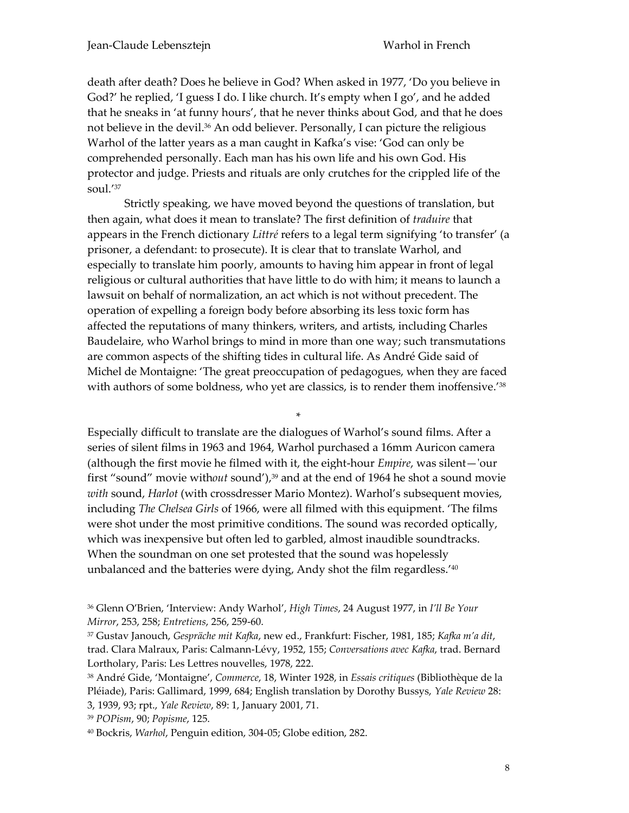death after death? Does he believe in God? When asked in 1977, 'Do you believe in God?' he replied, 'I guess I do. I like church. It's empty when I go', and he added that he sneaks in 'at funny hours', that he never thinks about God, and that he does not believe in the devil. <sup>36</sup> An odd believer. Personally, I can picture the religious Warhol of the latter years as a man caught in Kafka's vise: 'God can only be comprehended personally. Each man has his own life and his own God. His protector and judge. Priests and rituals are only crutches for the crippled life of the soul.' 37

Strictly speaking, we have moved beyond the questions of translation, but then again, what does it mean to translate? The first definition of *traduire* that appears in the French dictionary *Littré* refers to a legal term signifying 'to transfer' (a prisoner, a defendant: to prosecute). It is clear that to translate Warhol, and especially to translate him poorly, amounts to having him appear in front of legal religious or cultural authorities that have little to do with him; it means to launch a lawsuit on behalf of normalization, an act which is not without precedent. The operation of expelling a foreign body before absorbing its less toxic form has affected the reputations of many thinkers, writers, and artists, including Charles Baudelaire, who Warhol brings to mind in more than one way; such transmutations are common aspects of the shifting tides in cultural life. As André Gide said of Michel de Montaigne: 'The great preoccupation of pedagogues, when they are faced with authors of some boldness, who yet are classics, is to render them inoffensive.' 38

\* Especially difficult to translate are the dialogues of Warhol's sound films. After a series of silent films in 1963 and 1964, Warhol purchased a 16mm Auricon camera (although the first movie he filmed with it, the eight-hour *Empire*, was silent—'our first "sound" movie without sound'),<sup>39</sup> and at the end of 1964 he shot a sound movie *with* sound, *Harlot* (with crossdresser Mario Montez). Warhol's subsequent movies, including *The Chelsea Girls* of 1966, were all filmed with this equipment. 'The films were shot under the most primitive conditions. The sound was recorded optically, which was inexpensive but often led to garbled, almost inaudible soundtracks. When the soundman on one set protested that the sound was hopelessly unbalanced and the batteries were dying, Andy shot the film regardless.' 40

<sup>39</sup> *POPism*, 90; *Popisme*, 125.

<sup>36</sup> Glenn O'Brien, 'Interview: Andy Warhol', *High Times*, 24 August 1977, in *I'll Be Your Mirror*, 253, 258; *Entretiens*, 256, 259-60.

<sup>37</sup> Gustav Janouch, *Gespräche mit Kafka*, new ed., Frankfurt: Fischer, 1981, 185; *Kafka m'a dit*, trad. Clara Malraux, Paris: Calmann-Lévy, 1952, 155; *Conversations avec Kafka*, trad. Bernard Lortholary, Paris: Les Lettres nouvelles, 1978, 222.

<sup>38</sup> André Gide, 'Montaigne', *Commerce*, 18, Winter 1928, in *Essais critiques* (Bibliothèque de la Pléiade), Paris: Gallimard, 1999, 684; English translation by Dorothy Bussys, *Yale Review* 28: 3, 1939, 93; rpt., *Yale Review*, 89: 1, January 2001, 71.

<sup>40</sup> Bockris, *Warhol*, Penguin edition, 304-05; Globe edition, 282.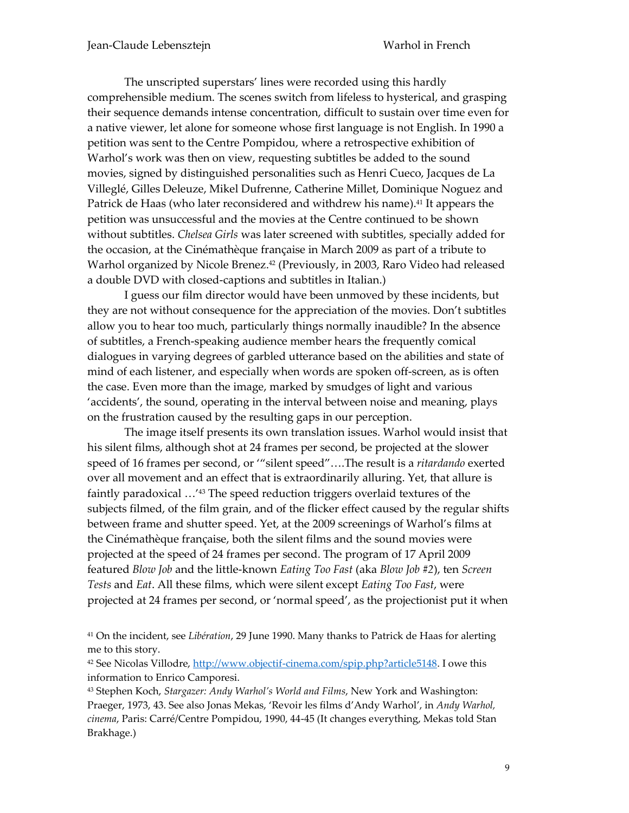The unscripted superstars' lines were recorded using this hardly comprehensible medium. The scenes switch from lifeless to hysterical, and grasping their sequence demands intense concentration, difficult to sustain over time even for a native viewer, let alone for someone whose first language is not English. In 1990 a petition was sent to the Centre Pompidou, where a retrospective exhibition of Warhol's work was then on view, requesting subtitles be added to the sound movies, signed by distinguished personalities such as Henri Cueco, Jacques de La Villeglé, Gilles Deleuze, Mikel Dufrenne, Catherine Millet, Dominique Noguez and Patrick de Haas (who later reconsidered and withdrew his name). <sup>41</sup> It appears the petition was unsuccessful and the movies at the Centre continued to be shown without subtitles. *Chelsea Girls* was later screened with subtitles, specially added for the occasion, at the Cinémathèque française in March 2009 as part of a tribute to Warhol organized by Nicole Brenez. <sup>42</sup> (Previously, in 2003, Raro Video had released a double DVD with closed-captions and subtitles in Italian.)

I guess our film director would have been unmoved by these incidents, but they are not without consequence for the appreciation of the movies. Don't subtitles allow you to hear too much, particularly things normally inaudible? In the absence of subtitles, a French-speaking audience member hears the frequently comical dialogues in varying degrees of garbled utterance based on the abilities and state of mind of each listener, and especially when words are spoken off-screen, as is often the case. Even more than the image, marked by smudges of light and various 'accidents', the sound, operating in the interval between noise and meaning, plays on the frustration caused by the resulting gaps in our perception.

The image itself presents its own translation issues. Warhol would insist that his silent films, although shot at 24 frames per second, be projected at the slower speed of 16 frames per second, or '"silent speed"….The result is a *ritardando* exerted over all movement and an effect that is extraordinarily alluring. Yet, that allure is faintly paradoxical …' <sup>43</sup> The speed reduction triggers overlaid textures of the subjects filmed, of the film grain, and of the flicker effect caused by the regular shifts between frame and shutter speed. Yet, at the 2009 screenings of Warhol's films at the Cinémathèque française, both the silent films and the sound movies were projected at the speed of 24 frames per second. The program of 17 April 2009 featured *Blow Job* and the little-known *Eating Too Fast* (aka *Blow Job #2*), ten *Screen Tests* and *Eat*. All these films, which were silent except *Eating Too Fast*, were projected at 24 frames per second, or 'normal speed', as the projectionist put it when

<sup>41</sup> On the incident, see *Libération*, 29 June 1990. Many thanks to Patrick de Haas for alerting me to this story.

<sup>42</sup> See Nicolas Villodre, [http://www.objectif-cinema.com/spip.php?article5148.](http://www.objectif-cinema.com/spip.php?article5148) I owe this information to Enrico Camporesi.

<sup>43</sup> Stephen Koch, *Stargazer: Andy Warhol's World and Films*, New York and Washington: Praeger, 1973, 43. See also Jonas Mekas, 'Revoir les films d'Andy Warhol', in *Andy Warhol, cinema*, Paris: Carré/Centre Pompidou, 1990, 44-45 (It changes everything, Mekas told Stan Brakhage.)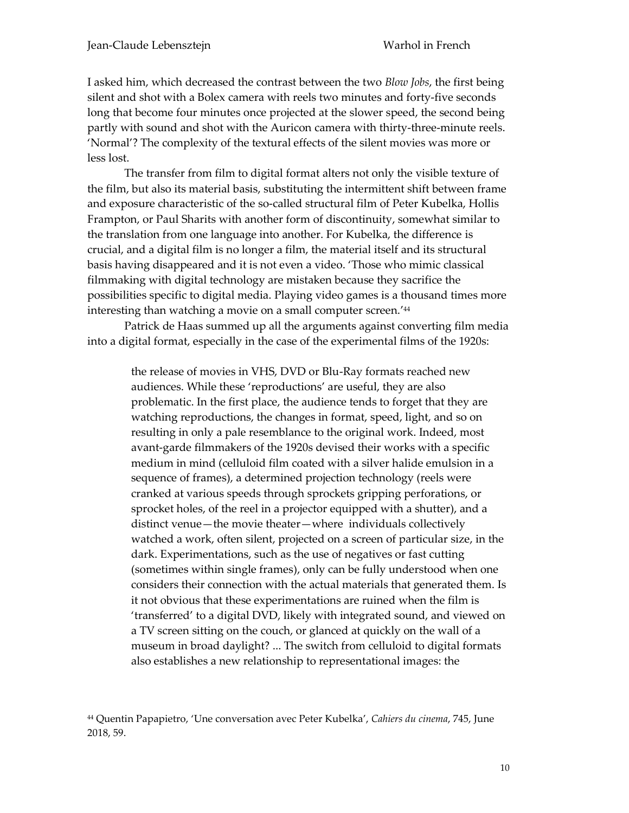I asked him, which decreased the contrast between the two *Blow Jobs*, the first being silent and shot with a Bolex camera with reels two minutes and forty-five seconds long that become four minutes once projected at the slower speed, the second being partly with sound and shot with the Auricon camera with thirty-three-minute reels. 'Normal'? The complexity of the textural effects of the silent movies was more or less lost.

The transfer from film to digital format alters not only the visible texture of the film, but also its material basis, substituting the intermittent shift between frame and exposure characteristic of the so-called structural film of Peter Kubelka, Hollis Frampton, or Paul Sharits with another form of discontinuity, somewhat similar to the translation from one language into another. For Kubelka, the difference is crucial, and a digital film is no longer a film, the material itself and its structural basis having disappeared and it is not even a video. 'Those who mimic classical filmmaking with digital technology are mistaken because they sacrifice the possibilities specific to digital media. Playing video games is a thousand times more interesting than watching a movie on a small computer screen.' 44

Patrick de Haas summed up all the arguments against converting film media into a digital format, especially in the case of the experimental films of the 1920s:

> the release of movies in VHS, DVD or Blu-Ray formats reached new audiences. While these 'reproductions' are useful, they are also problematic. In the first place, the audience tends to forget that they are watching reproductions, the changes in format, speed, light, and so on resulting in only a pale resemblance to the original work. Indeed, most avant-garde filmmakers of the 1920s devised their works with a specific medium in mind (celluloid film coated with a silver halide emulsion in a sequence of frames), a determined projection technology (reels were cranked at various speeds through sprockets gripping perforations, or sprocket holes, of the reel in a projector equipped with a shutter), and a distinct venue—the movie theater—where individuals collectively watched a work, often silent, projected on a screen of particular size, in the dark. Experimentations, such as the use of negatives or fast cutting (sometimes within single frames), only can be fully understood when one considers their connection with the actual materials that generated them. Is it not obvious that these experimentations are ruined when the film is 'transferred' to a digital DVD, likely with integrated sound, and viewed on a TV screen sitting on the couch, or glanced at quickly on the wall of a museum in broad daylight? ... The switch from celluloid to digital formats also establishes a new relationship to representational images: the

<sup>44</sup> Quentin Papapietro, 'Une conversation avec Peter Kubelka', *Cahiers du cinema*, 745, June 2018, 59.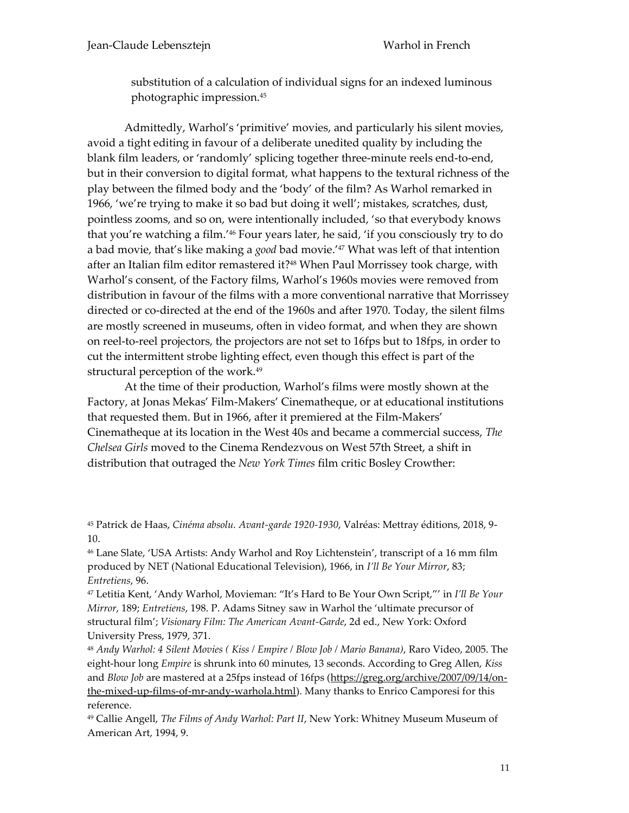substitution of a calculation of individual signs for an indexed luminous photographic impression. 45

Admittedly, Warhol's 'primitive' movies, and particularly his silent movies, avoid a tight editing in favour of a deliberate unedited quality by including the blank film leaders, or 'randomly' splicing together three-minute reels end-to-end, but in their conversion to digital format, what happens to the textural richness of the play between the filmed body and the 'body' of the film? As Warhol remarked in 1966, 'we're trying to make it so bad but doing it well'; mistakes, scratches, dust, pointless zooms, and so on, were intentionally included, 'so that everybody knows that you're watching a film.' <sup>46</sup> Four years later, he said, 'if you consciously try to do a bad movie, that's like making a *good* bad movie.' <sup>47</sup> What was left of that intention after an Italian film editor remastered it? <sup>48</sup> When Paul Morrissey took charge, with Warhol's consent, of the Factory films, Warhol's 1960s movies were removed from distribution in favour of the films with a more conventional narrative that Morrissey directed or co-directed at the end of the 1960s and after 1970. Today, the silent films are mostly screened in museums, often in video format, and when they are shown on reel-to-reel projectors, the projectors are not set to 16fps but to 18fps, in order to cut the intermittent strobe lighting effect, even though this effect is part of the structural perception of the work.<sup>49</sup>

At the time of their production, Warhol's films were mostly shown at the Factory, at Jonas Mekas' Film-Makers' Cinematheque, or at educational institutions that requested them. But in 1966, after it premiered at the Film-Makers' Cinematheque at its location in the West 40s and became a commercial success, *The Chelsea Girls* moved to the Cinema Rendezvous on West 57th Street, a shift in distribution that outraged the *New York Times* film critic Bosley Crowther:

<sup>46</sup> Lane Slate, 'USA Artists: Andy Warhol and Roy Lichtenstein', transcript of a 16 mm film produced by NET (National Educational Television), 1966, in *I'll Be Your Mirror*, 83; *Entretiens*, 96.

<sup>47</sup> Letitia Kent, 'Andy Warhol, Movieman: "It's Hard to Be Your Own Script,"' in *I'll Be Your Mirror*, 189; *Entretiens*, 198. P. Adams Sitney saw in Warhol the 'ultimate precursor of structural film'; *Visionary Film: The American Avant-Garde*, 2d ed., New York: Oxford University Press, 1979, 371.

<sup>48</sup> *Andy Warhol: 4 Silent Movies ( Kiss / Empire / Blow Job / Mario Banana)*, Raro Video, 2005. The eight-hour long *Empire* is shrunk into 60 minutes, 13 seconds. According to Greg Allen, *Kiss* and *Blow Job* are mastered at a 25fps instead of 16fps [\(https://greg.org/archive/2007/09/14/on](https://greg.org/archive/2007/09/14/on-the-mixed-up-films-of-mr-andy-warhola.html)[the-mixed-up-films-of-mr-andy-warhola.html\)](https://greg.org/archive/2007/09/14/on-the-mixed-up-films-of-mr-andy-warhola.html). Many thanks to Enrico Camporesi for this reference.

<sup>49</sup> Callie Angell, *The Films of Andy Warhol: Part II*, New York: Whitney Museum Museum of American Art, 1994, 9.

<sup>45</sup> Patrick de Haas, *Cinéma absolu. Avant-garde 1920-1930*, Valréas: Mettray éditions, 2018, 9- 10.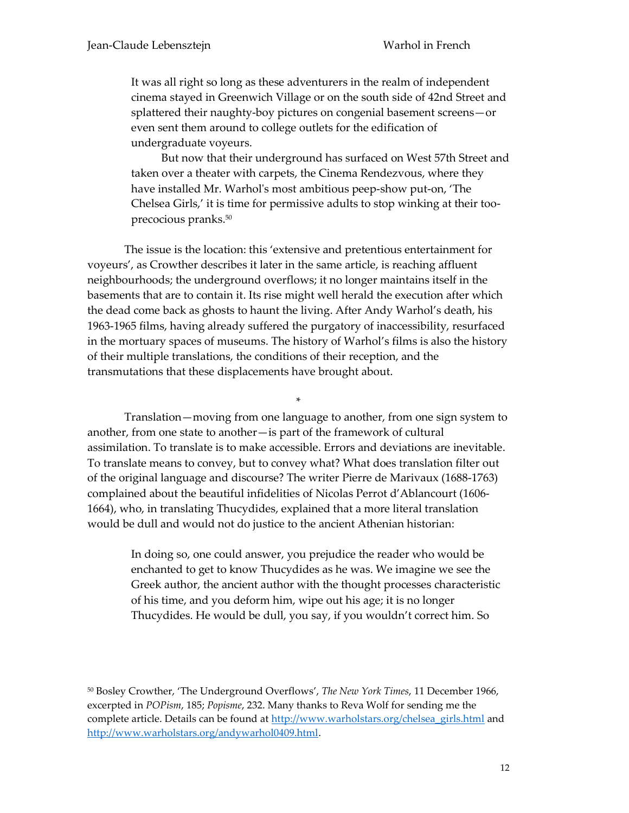It was all right so long as these adventurers in the realm of independent cinema stayed in Greenwich Village or on the south side of 42nd Street and splattered their naughty-boy pictures on congenial basement screens—or even sent them around to college outlets for the edification of undergraduate voyeurs.

But now that their underground has surfaced on West 57th Street and taken over a theater with carpets, the Cinema Rendezvous, where they have installed Mr. Warhol's most ambitious peep-show put-on, 'The Chelsea Girls,' it is time for permissive adults to stop winking at their tooprecocious pranks. 50

The issue is the location: this 'extensive and pretentious entertainment for voyeurs', as Crowther describes it later in the same article, is reaching affluent neighbourhoods; the underground overflows; it no longer maintains itself in the basements that are to contain it. Its rise might well herald the execution after which the dead come back as ghosts to haunt the living. After Andy Warhol's death, his 1963-1965 films, having already suffered the purgatory of inaccessibility, resurfaced in the mortuary spaces of museums. The history of Warhol's films is also the history of their multiple translations, the conditions of their reception, and the transmutations that these displacements have brought about.

Translation—moving from one language to another, from one sign system to another, from one state to another—is part of the framework of cultural assimilation. To translate is to make accessible. Errors and deviations are inevitable. To translate means to convey, but to convey what? What does translation filter out of the original language and discourse? The writer Pierre de Marivaux (1688-1763) complained about the beautiful infidelities of Nicolas Perrot d'Ablancourt (1606- 1664), who, in translating Thucydides, explained that a more literal translation would be dull and would not do justice to the ancient Athenian historian:

\*

In doing so, one could answer, you prejudice the reader who would be enchanted to get to know Thucydides as he was. We imagine we see the Greek author, the ancient author with the thought processes characteristic of his time, and you deform him, wipe out his age; it is no longer Thucydides. He would be dull, you say, if you wouldn't correct him. So

<sup>50</sup> Bosley Crowther, 'The Underground Overflows', *The New York Times*, 11 December 1966, excerpted in *POPism*, 185; *Popisme*, 232. Many thanks to Reva Wolf for sending me the complete article. Details can be found at [http://www.warholstars.org/chelsea\\_girls.html](http://www.warholstars.org/chelsea_girls.html) and [http://www.warholstars.org/andywarhol0409.html.](http://www.warholstars.org/andywarhol0409.html)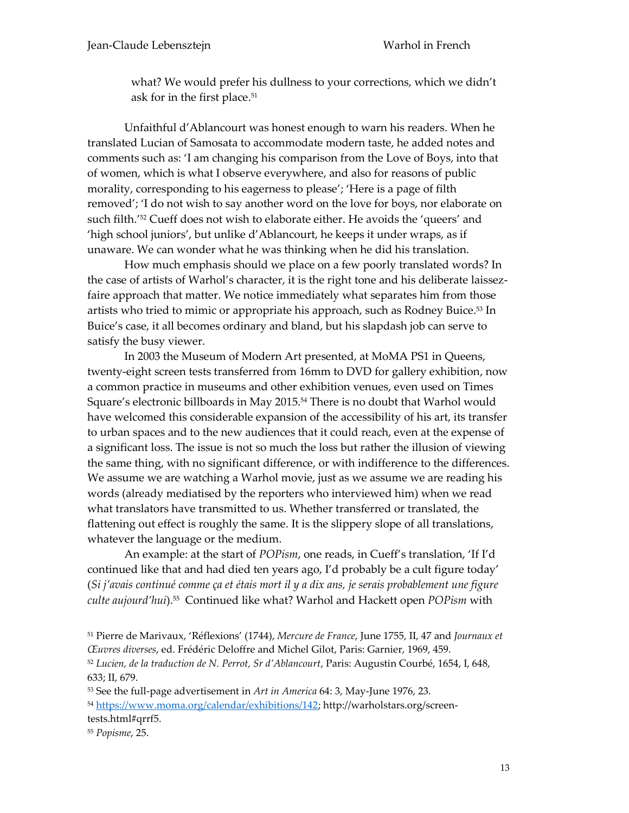what? We would prefer his dullness to your corrections, which we didn't ask for in the first place. 51

Unfaithful d'Ablancourt was honest enough to warn his readers. When he translated Lucian of Samosata to accommodate modern taste, he added notes and comments such as: 'I am changing his comparison from the Love of Boys, into that of women, which is what I observe everywhere, and also for reasons of public morality, corresponding to his eagerness to please'; 'Here is a page of filth removed'; 'I do not wish to say another word on the love for boys, nor elaborate on such filth.' <sup>52</sup> Cueff does not wish to elaborate either. He avoids the 'queers' and 'high school juniors', but unlike d'Ablancourt, he keeps it under wraps, as if unaware. We can wonder what he was thinking when he did his translation.

How much emphasis should we place on a few poorly translated words? In the case of artists of Warhol's character, it is the right tone and his deliberate laissezfaire approach that matter. We notice immediately what separates him from those artists who tried to mimic or appropriate his approach, such as Rodney Buice. <sup>53</sup> In Buice's case, it all becomes ordinary and bland, but his slapdash job can serve to satisfy the busy viewer.

In 2003 the Museum of Modern Art presented, at MoMA PS1 in Queens, twenty-eight screen tests transferred from 16mm to DVD for gallery exhibition, now a common practice in museums and other exhibition venues, even used on Times Square's electronic billboards in May 2015. <sup>54</sup> There is no doubt that Warhol would have welcomed this considerable expansion of the accessibility of his art, its transfer to urban spaces and to the new audiences that it could reach, even at the expense of a significant loss. The issue is not so much the loss but rather the illusion of viewing the same thing, with no significant difference, or with indifference to the differences. We assume we are watching a Warhol movie, just as we assume we are reading his words (already mediatised by the reporters who interviewed him) when we read what translators have transmitted to us. Whether transferred or translated, the flattening out effect is roughly the same. It is the slippery slope of all translations, whatever the language or the medium.

An example: at the start of *POPism*, one reads, in Cueff's translation, 'If I'd continued like that and had died ten years ago, I'd probably be a cult figure today' (*Si j'avais continué comme ça et étais mort il y a dix ans, je serais probablement une figure culte aujourd'hui*).<sup>55</sup> Continued like what? Warhol and Hackett open *POPism* with

<sup>51</sup> Pierre de Marivaux, 'Réflexions' (1744), *Mercure de France*, June 1755, II, 47 and *Journaux et Œuvres diverses*, ed. Frédéric Deloffre and Michel Gilot, Paris: Garnier, 1969, 459. <sup>52</sup> *Lucien, de la traduction de N. Perrot, Sr d'Ablancourt*, Paris: Augustin Courbé, 1654, I, 648, 633; II, 679.

<sup>53</sup> See the full-page advertisement in *Art in America* 64: 3, May-June 1976, 23. 54 [https://www.moma.org/calendar/exhibitions/142;](https://www.moma.org/calendar/exhibitions/142) http://warholstars.org/screentests.html#qrrf5.

<sup>55</sup> *Popisme*, 25.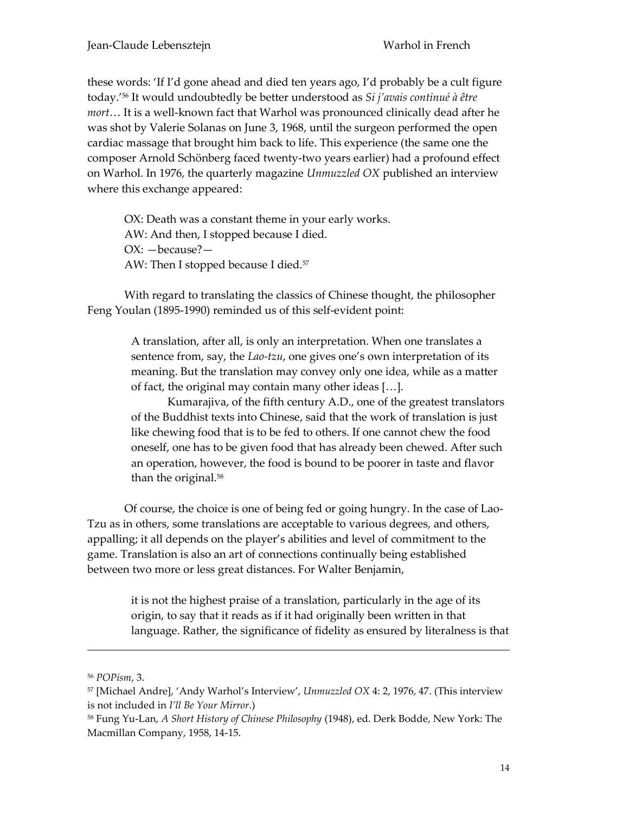these words: 'If I'd gone ahead and died ten years ago, I'd probably be a cult figure today.' <sup>56</sup> It would undoubtedly be better understood as *Si j'avais continué à être mort*… It is a well-known fact that Warhol was pronounced clinically dead after he was shot by Valerie Solanas on June 3, 1968, until the surgeon performed the open cardiac massage that brought him back to life. This experience (the same one the composer Arnold Schönberg faced twenty-two years earlier) had a profound effect on Warhol. In 1976, the quarterly magazine *Unmuzzled OX* published an interview where this exchange appeared:

OX: Death was a constant theme in your early works. AW: And then, I stopped because I died. OX: —because?— AW: Then I stopped because I died.<sup>57</sup>

With regard to translating the classics of Chinese thought, the philosopher Feng Youlan (1895-1990) reminded us of this self-evident point:

> A translation, after all, is only an interpretation. When one translates a sentence from, say, the *Lao-tzu*, one gives one's own interpretation of its meaning. But the translation may convey only one idea, while as a matter of fact, the original may contain many other ideas […].

Kumarajiva, of the fifth century A.D., one of the greatest translators of the Buddhist texts into Chinese, said that the work of translation is just like chewing food that is to be fed to others. If one cannot chew the food oneself, one has to be given food that has already been chewed. After such an operation, however, the food is bound to be poorer in taste and flavor than the original.<sup>58</sup>

Of course, the choice is one of being fed or going hungry. In the case of Lao-Tzu as in others, some translations are acceptable to various degrees, and others, appalling; it all depends on the player's abilities and level of commitment to the game. Translation is also an art of connections continually being established between two more or less great distances. For Walter Benjamin,

> it is not the highest praise of a translation, particularly in the age of its origin, to say that it reads as if it had originally been written in that language. Rather, the significance of fidelity as ensured by literalness is that

-

<sup>56</sup> *POPism*, 3.

<sup>57</sup> [Michael Andre], 'Andy Warhol's Interview', *Unmuzzled OX* 4: 2, 1976, 47. (This interview is not included in *I'll Be Your Mirror*.)

<sup>58</sup> Fung Yu-Lan, *A Short History of Chinese Philosophy* (1948), ed. Derk Bodde, New York: The Macmillan Company, 1958, 14-15.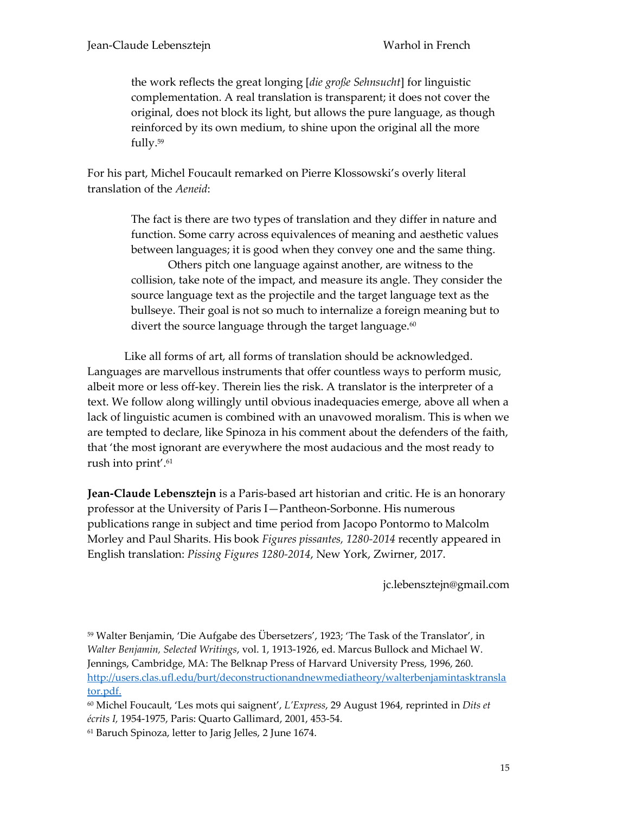the work reflects the great longing [*die große Sehnsucht*] for linguistic complementation. A real translation is transparent; it does not cover the original, does not block its light, but allows the pure language, as though reinforced by its own medium, to shine upon the original all the more fully.<sup>59</sup>

For his part, Michel Foucault remarked on Pierre Klossowski's overly literal translation of the *Aeneid*:

> The fact is there are two types of translation and they differ in nature and function. Some carry across equivalences of meaning and aesthetic values between languages; it is good when they convey one and the same thing.

> Others pitch one language against another, are witness to the collision, take note of the impact, and measure its angle. They consider the source language text as the projectile and the target language text as the bullseye. Their goal is not so much to internalize a foreign meaning but to divert the source language through the target language.<sup>60</sup>

Like all forms of art, all forms of translation should be acknowledged. Languages are marvellous instruments that offer countless ways to perform music, albeit more or less off-key. Therein lies the risk. A translator is the interpreter of a text. We follow along willingly until obvious inadequacies emerge, above all when a lack of linguistic acumen is combined with an unavowed moralism. This is when we are tempted to declare, like Spinoza in his comment about the defenders of the faith, that 'the most ignorant are everywhere the most audacious and the most ready to rush into print'. 61

**Jean-Claude Lebensztejn** is a Paris-based art historian and critic. He is an honorary professor at the University of Paris I—Pantheon-Sorbonne. His numerous publications range in subject and time period from Jacopo Pontormo to Malcolm Morley and Paul Sharits. His book *Figures pissantes, 1280-2014* recently appeared in English translation: *Pissing Figures 1280-2014*, New York, Zwirner, 2017.

jc.lebensztejn@gmail.com

<sup>59</sup> Walter Benjamin, 'Die Aufgabe des Übersetzers', 1923; 'The Task of the Translator', in *Walter Benjamin, Selected Writings*, vol. 1, 1913-1926, ed. Marcus Bullock and Michael W. Jennings, Cambridge, MA: The Belknap Press of Harvard University Press, 1996, 260. [http://users.clas.ufl.edu/burt/deconstructionandnewmediatheory/walterbenjamintasktransla](http://users.clas.ufl.edu/burt/deconstructionandnewmediatheory/walterbenjamintasktranslator.pdf) [tor.pdf.](http://users.clas.ufl.edu/burt/deconstructionandnewmediatheory/walterbenjamintasktranslator.pdf)

<sup>60</sup> Michel Foucault, 'Les mots qui saignent', *L'Express*, 29 August 1964, reprinted in *Dits et écrits I,* 1954-1975, Paris: Quarto Gallimard, 2001, 453-54.

<sup>61</sup> Baruch Spinoza, letter to Jarig Jelles, 2 June 1674.